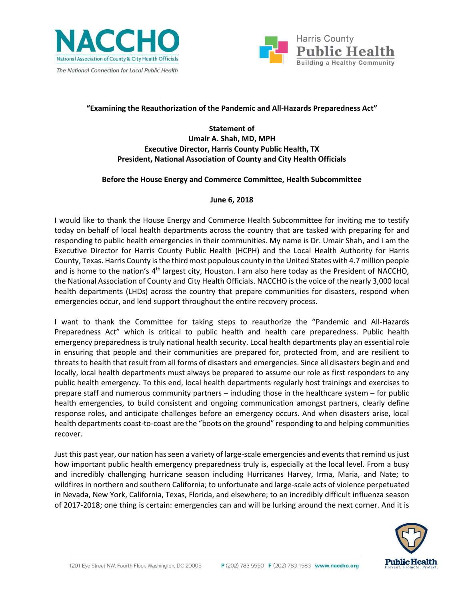



# **"Examining the Reauthorization of the Pandemic and All-Hazards Preparedness Act"**

**Statement of Umair A. Shah, MD, MPH Executive Director, Harris County Public Health, TX President, National Association of County and City Health Officials**

#### **Before the House Energy and Commerce Committee, Health Subcommittee**

## **June 6, 2018**

I would like to thank the House Energy and Commerce Health Subcommittee for inviting me to testify today on behalf of local health departments across the country that are tasked with preparing for and responding to public health emergencies in their communities. My name is Dr. Umair Shah, and I am the Executive Director for Harris County Public Health (HCPH) and the Local Health Authority for Harris County, Texas. Harris County is the third most populous county in the United States with 4.7 million people and is home to the nation's 4<sup>th</sup> largest city, Houston. I am also here today as the President of NACCHO, the National Association of County and City Health Officials. NACCHO is the voice of the nearly 3,000 local health departments (LHDs) across the country that prepare communities for disasters, respond when emergencies occur, and lend support throughout the entire recovery process.

I want to thank the Committee for taking steps to reauthorize the "Pandemic and All-Hazards Preparedness Act" which is critical to public health and health care preparedness. Public health emergency preparedness is truly national health security. Local health departments play an essential role in ensuring that people and their communities are prepared for, protected from, and are resilient to threats to health that result from all forms of disasters and emergencies. Since all disasters begin and end locally, local health departments must always be prepared to assume our role as first responders to any public health emergency. To this end, local health departments regularly host trainings and exercises to prepare staff and numerous community partners – including those in the healthcare system – for public health emergencies, to build consistent and ongoing communication amongst partners, clearly define response roles, and anticipate challenges before an emergency occurs. And when disasters arise, local health departments coast-to-coast are the "boots on the ground" responding to and helping communities recover.

Just this past year, our nation has seen a variety of large-scale emergencies and events that remind us just how important public health emergency preparedness truly is, especially at the local level. From a busy and incredibly challenging hurricane season including Hurricanes Harvey, Irma, Maria, and Nate; to wildfires in northern and southern California; to unfortunate and large-scale acts of violence perpetuated in Nevada, New York, California, Texas, Florida, and elsewhere; to an incredibly difficult influenza season of 2017-2018; one thing is certain: emergencies can and will be lurking around the next corner. And it is

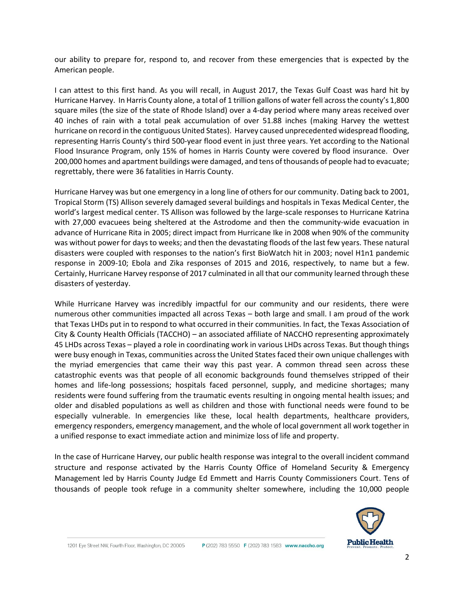our ability to prepare for, respond to, and recover from these emergencies that is expected by the American people.

I can attest to this first hand. As you will recall, in August 2017, the Texas Gulf Coast was hard hit by Hurricane Harvey. In Harris County alone, a total of 1 trillion gallons of water fell across the county's 1,800 square miles (the size of the state of Rhode Island) over a 4-day period where many areas received over 40 inches of rain with a total peak accumulation of over 51.88 inches (making Harvey the wettest hurricane on record in the contiguous United States). Harvey caused unprecedented widespread flooding, representing Harris County's third 500-year flood event in just three years. Yet according to the National Flood Insurance Program, only 15% of homes in Harris County were covered by flood insurance. Over 200,000 homes and apartment buildings were damaged, and tens of thousands of people had to evacuate; regrettably, there were 36 fatalities in Harris County.

Hurricane Harvey was but one emergency in a long line of others for our community. Dating back to 2001, Tropical Storm (TS) Allison severely damaged several buildings and hospitals in Texas Medical Center, the world's largest medical center. TS Allison was followed by the large-scale responses to Hurricane Katrina with 27,000 evacuees being sheltered at the Astrodome and then the community-wide evacuation in advance of Hurricane Rita in 2005; direct impact from Hurricane Ike in 2008 when 90% of the community was without power for days to weeks; and then the devastating floods of the last few years. These natural disasters were coupled with responses to the nation's first BioWatch hit in 2003; novel H1n1 pandemic response in 2009-10; Ebola and Zika responses of 2015 and 2016, respectively, to name but a few. Certainly, Hurricane Harvey response of 2017 culminated in all that our community learned through these disasters of yesterday.

While Hurricane Harvey was incredibly impactful for our community and our residents, there were numerous other communities impacted all across Texas – both large and small. I am proud of the work that Texas LHDs put in to respond to what occurred in their communities. In fact, the Texas Association of City & County Health Officials (TACCHO) – an associated affiliate of NACCHO representing approximately 45 LHDs across Texas – played a role in coordinating work in various LHDs across Texas. But though things were busy enough in Texas, communities across the United States faced their own unique challenges with the myriad emergencies that came their way this past year. A common thread seen across these catastrophic events was that people of all economic backgrounds found themselves stripped of their homes and life-long possessions; hospitals faced personnel, supply, and medicine shortages; many residents were found suffering from the traumatic events resulting in ongoing mental health issues; and older and disabled populations as well as children and those with functional needs were found to be especially vulnerable. In emergencies like these, local health departments, healthcare providers, emergency responders, emergency management, and the whole of local government all work together in a unified response to exact immediate action and minimize loss of life and property.

In the case of Hurricane Harvey, our public health response was integral to the overall incident command structure and response activated by the Harris County Office of Homeland Security & Emergency Management led by Harris County Judge Ed Emmett and Harris County Commissioners Court. Tens of thousands of people took refuge in a community shelter somewhere, including the 10,000 people

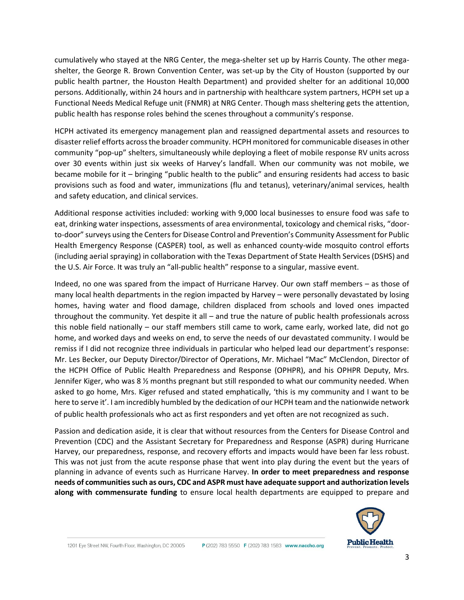cumulatively who stayed at the NRG Center, the mega-shelter set up by Harris County. The other megashelter, the George R. Brown Convention Center, was set-up by the City of Houston (supported by our public health partner, the Houston Health Department) and provided shelter for an additional 10,000 persons. Additionally, within 24 hours and in partnership with healthcare system partners, HCPH set up a Functional Needs Medical Refuge unit (FNMR) at NRG Center. Though mass sheltering gets the attention, public health has response roles behind the scenes throughout a community's response.

HCPH activated its emergency management plan and reassigned departmental assets and resources to disaster relief efforts across the broader community. HCPH monitored for communicable diseases in other community "pop-up" shelters, simultaneously while deploying a fleet of mobile response RV units across over 30 events within just six weeks of Harvey's landfall. When our community was not mobile, we became mobile for it – bringing "public health to the public" and ensuring residents had access to basic provisions such as food and water, immunizations (flu and tetanus), veterinary/animal services, health and safety education, and clinical services.

Additional response activities included: working with 9,000 local businesses to ensure food was safe to eat, drinking water inspections, assessments of area environmental, toxicology and chemical risks, "doorto-door" surveys using the Centers for Disease Control and Prevention's Community Assessment for Public Health Emergency Response (CASPER) tool, as well as enhanced county-wide mosquito control efforts (including aerial spraying) in collaboration with the Texas Department of State Health Services (DSHS) and the U.S. Air Force. It was truly an "all-public health" response to a singular, massive event.

Indeed, no one was spared from the impact of Hurricane Harvey. Our own staff members – as those of many local health departments in the region impacted by Harvey – were personally devastated by losing homes, having water and flood damage, children displaced from schools and loved ones impacted throughout the community. Yet despite it all – and true the nature of public health professionals across this noble field nationally – our staff members still came to work, came early, worked late, did not go home, and worked days and weeks on end, to serve the needs of our devastated community. I would be remiss if I did not recognize three individuals in particular who helped lead our department's response: Mr. Les Becker, our Deputy Director/Director of Operations, Mr. Michael "Mac" McClendon, Director of the HCPH Office of Public Health Preparedness and Response (OPHPR), and his OPHPR Deputy, Mrs. Jennifer Kiger, who was 8 ½ months pregnant but still responded to what our community needed. When asked to go home, Mrs. Kiger refused and stated emphatically, 'this is my community and I want to be here to serve it'. I am incredibly humbled by the dedication of our HCPH team and the nationwide network of public health professionals who act as first responders and yet often are not recognized as such.

Passion and dedication aside, it is clear that without resources from the Centers for Disease Control and Prevention (CDC) and the Assistant Secretary for Preparedness and Response (ASPR) during Hurricane Harvey, our preparedness, response, and recovery efforts and impacts would have been far less robust. This was not just from the acute response phase that went into play during the event but the years of planning in advance of events such as Hurricane Harvey. **In order to meet preparedness and response needs of communities such as ours, CDC and ASPR must have adequate support and authorization levels along with commensurate funding** to ensure local health departments are equipped to prepare and

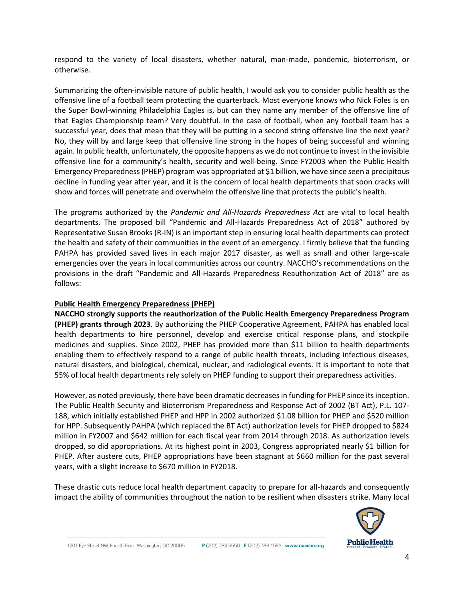respond to the variety of local disasters, whether natural, man-made, pandemic, bioterrorism, or otherwise.

Summarizing the often-invisible nature of public health, I would ask you to consider public health as the offensive line of a football team protecting the quarterback. Most everyone knows who Nick Foles is on the Super Bowl-winning Philadelphia Eagles is, but can they name any member of the offensive line of that Eagles Championship team? Very doubtful. In the case of football, when any football team has a successful year, does that mean that they will be putting in a second string offensive line the next year? No, they will by and large keep that offensive line strong in the hopes of being successful and winning again. In public health, unfortunately, the opposite happens as we do not continue to invest in the invisible offensive line for a community's health, security and well-being. Since FY2003 when the Public Health Emergency Preparedness (PHEP) program was appropriated at \$1 billion, we have since seen a precipitous decline in funding year after year, and it is the concern of local health departments that soon cracks will show and forces will penetrate and overwhelm the offensive line that protects the public's health.

The programs authorized by the *Pandemic and All-Hazards Preparedness Act* are vital to local health departments. The proposed bill "Pandemic and All-Hazards Preparedness Act of 2018" authored by Representative Susan Brooks (R-IN) is an important step in ensuring local health departments can protect the health and safety of their communities in the event of an emergency. I firmly believe that the funding PAHPA has provided saved lives in each major 2017 disaster, as well as small and other large-scale emergencies over the years in local communities across our country. NACCHO's recommendations on the provisions in the draft "Pandemic and All-Hazards Preparedness Reauthorization Act of 2018" are as follows:

#### **Public Health Emergency Preparedness (PHEP)**

**NACCHO strongly supports the reauthorization of the Public Health Emergency Preparedness Program (PHEP) grants through 2023**. By authorizing the PHEP Cooperative Agreement, PAHPA has enabled local health departments to hire personnel, develop and exercise critical response plans, and stockpile medicines and supplies. Since 2002, PHEP has provided more than \$11 billion to health departments enabling them to effectively respond to a range of public health threats, including infectious diseases, natural disasters, and biological, chemical, nuclear, and radiological events. It is important to note that 55% of local health departments rely solely on PHEP funding to support their preparedness activities.

However, as noted previously, there have been dramatic decreases in funding for PHEP since its inception. The Public Health Security and Bioterrorism Preparedness and Response Act of 2002 (BT Act), P.L. 107- 188, which initially established PHEP and HPP in 2002 authorized \$1.08 billion for PHEP and \$520 million for HPP. Subsequently PAHPA (which replaced the BT Act) authorization levels for PHEP dropped to \$824 million in FY2007 and \$642 million for each fiscal year from 2014 through 2018. As authorization levels dropped, so did appropriations. At its highest point in 2003, Congress appropriated nearly \$1 billion for PHEP. After austere cuts, PHEP appropriations have been stagnant at \$660 million for the past several years, with a slight increase to \$670 million in FY2018.

These drastic cuts reduce local health department capacity to prepare for all-hazards and consequently impact the ability of communities throughout the nation to be resilient when disasters strike. Many local

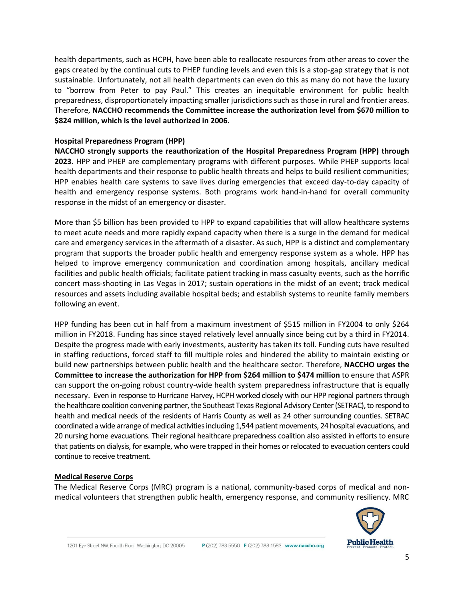health departments, such as HCPH, have been able to reallocate resources from other areas to cover the gaps created by the continual cuts to PHEP funding levels and even this is a stop-gap strategy that is not sustainable. Unfortunately, not all health departments can even do this as many do not have the luxury to "borrow from Peter to pay Paul." This creates an inequitable environment for public health preparedness, disproportionately impacting smaller jurisdictions such as those in rural and frontier areas. Therefore, **NACCHO recommends the Committee increase the authorization level from \$670 million to \$824 million, which is the level authorized in 2006.** 

#### **Hospital Preparedness Program (HPP)**

**NACCHO strongly supports the reauthorization of the Hospital Preparedness Program (HPP) through 2023.** HPP and PHEP are complementary programs with different purposes. While PHEP supports local health departments and their response to public health threats and helps to build resilient communities; HPP enables health care systems to save lives during emergencies that exceed day-to-day capacity of health and emergency response systems. Both programs work hand-in-hand for overall community response in the midst of an emergency or disaster.

More than \$5 billion has been provided to HPP to expand capabilities that will allow healthcare systems to meet acute needs and more rapidly expand capacity when there is a surge in the demand for medical care and emergency services in the aftermath of a disaster. As such, HPP is a distinct and complementary program that supports the broader public health and emergency response system as a whole. HPP has helped to improve emergency communication and coordination among hospitals, ancillary medical facilities and public health officials; facilitate patient tracking in mass casualty events, such as the horrific concert mass-shooting in Las Vegas in 2017; sustain operations in the midst of an event; track medical resources and assets including available hospital beds; and establish systems to reunite family members following an event.

HPP funding has been cut in half from a maximum investment of \$515 million in FY2004 to only \$264 million in FY2018. Funding has since stayed relatively level annually since being cut by a third in FY2014. Despite the progress made with early investments, austerity has taken its toll. Funding cuts have resulted in staffing reductions, forced staff to fill multiple roles and hindered the ability to maintain existing or build new partnerships between public health and the healthcare sector. Therefore, **NACCHO urges the Committee to increase the authorization for HPP from \$264 million to \$474 million** to ensure that ASPR can support the on-going robust country-wide health system preparedness infrastructure that is equally necessary. Even in response to Hurricane Harvey, HCPH worked closely with our HPP regional partners through the healthcare coalition convening partner, the Southeast Texas Regional Advisory Center (SETRAC), to respond to health and medical needs of the residents of Harris County as well as 24 other surrounding counties. SETRAC coordinated a wide arrange of medical activities including 1,544 patient movements, 24 hospital evacuations, and 20 nursing home evacuations. Their regional healthcare preparedness coalition also assisted in efforts to ensure that patients on dialysis, for example, who were trapped in their homes or relocated to evacuation centers could continue to receive treatment.

#### **Medical Reserve Corps**

The Medical Reserve Corps (MRC) program is a national, community-based corps of medical and nonmedical volunteers that strengthen public health, emergency response, and community resiliency. MRC

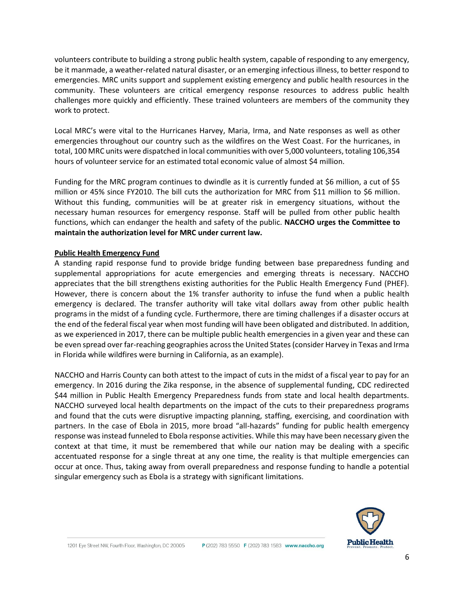volunteers contribute to building a strong public health system, capable of responding to any emergency, be it manmade, a weather-related natural disaster, or an emerging infectious illness, to better respond to emergencies. MRC units support and supplement existing emergency and public health resources in the community. These volunteers are critical emergency response resources to address public health challenges more quickly and efficiently. These trained volunteers are members of the community they work to protect.

Local MRC's were vital to the Hurricanes Harvey, Maria, Irma, and Nate responses as well as other emergencies throughout our country such as the wildfires on the West Coast. For the hurricanes, in total, 100 MRC units were dispatched in local communities with over 5,000 volunteers, totaling 106,354 hours of volunteer service for an estimated total economic value of almost \$4 million.

Funding for the MRC program continues to dwindle as it is currently funded at \$6 million, a cut of \$5 million or 45% since FY2010. The bill cuts the authorization for MRC from \$11 million to \$6 million. Without this funding, communities will be at greater risk in emergency situations, without the necessary human resources for emergency response. Staff will be pulled from other public health functions, which can endanger the health and safety of the public. **NACCHO urges the Committee to maintain the authorization level for MRC under current law.**

#### **Public Health Emergency Fund**

A standing rapid response fund to provide bridge funding between base preparedness funding and supplemental appropriations for acute emergencies and emerging threats is necessary. NACCHO appreciates that the bill strengthens existing authorities for the Public Health Emergency Fund (PHEF). However, there is concern about the 1% transfer authority to infuse the fund when a public health emergency is declared. The transfer authority will take vital dollars away from other public health programs in the midst of a funding cycle. Furthermore, there are timing challenges if a disaster occurs at the end of the federal fiscal year when most funding will have been obligated and distributed. In addition, as we experienced in 2017, there can be multiple public health emergencies in a given year and these can be even spread over far-reaching geographies across the United States (consider Harvey in Texas and Irma in Florida while wildfires were burning in California, as an example).

NACCHO and Harris County can both attest to the impact of cuts in the midst of a fiscal year to pay for an emergency. In 2016 during the Zika response, in the absence of supplemental funding, CDC redirected \$44 million in Public Health Emergency Preparedness funds from state and local health departments. NACCHO surveyed local health departments on the impact of the cuts to their preparedness programs and found that the cuts were disruptive impacting planning, staffing, exercising, and coordination with partners. In the case of Ebola in 2015, more broad "all-hazards" funding for public health emergency response was instead funneled to Ebola response activities. While this may have been necessary given the context at that time, it must be remembered that while our nation may be dealing with a specific accentuated response for a single threat at any one time, the reality is that multiple emergencies can occur at once. Thus, taking away from overall preparedness and response funding to handle a potential singular emergency such as Ebola is a strategy with significant limitations.

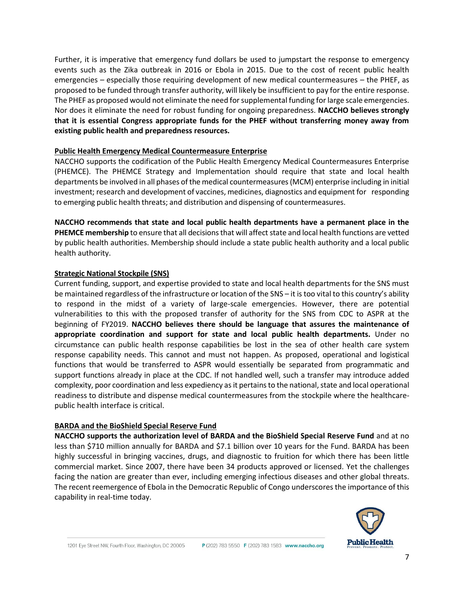Further, it is imperative that emergency fund dollars be used to jumpstart the response to emergency events such as the Zika outbreak in 2016 or Ebola in 2015. Due to the cost of recent public health emergencies – especially those requiring development of new medical countermeasures – the PHEF, as proposed to be funded through transfer authority, will likely be insufficient to pay for the entire response. The PHEF as proposed would not eliminate the need for supplemental funding for large scale emergencies. Nor does it eliminate the need for robust funding for ongoing preparedness. **NACCHO believes strongly that it is essential Congress appropriate funds for the PHEF without transferring money away from existing public health and preparedness resources.**

#### **Public Health Emergency Medical Countermeasure Enterprise**

NACCHO supports the codification of the Public Health Emergency Medical Countermeasures Enterprise (PHEMCE). The PHEMCE Strategy and Implementation should require that state and local health departments be involved in all phases of the medical countermeasures (MCM) enterprise including in initial investment; research and development of vaccines, medicines, diagnostics and equipment for responding to emerging public health threats; and distribution and dispensing of countermeasures.

**NACCHO recommends that state and local public health departments have a permanent place in the PHEMCE membership** to ensure that all decisions that will affect state and local health functions are vetted by public health authorities. Membership should include a state public health authority and a local public health authority.

## **Strategic National Stockpile (SNS)**

Current funding, support, and expertise provided to state and local health departments for the SNS must be maintained regardless of the infrastructure or location of the SNS – it is too vital to this country's ability to respond in the midst of a variety of large-scale emergencies. However, there are potential vulnerabilities to this with the proposed transfer of authority for the SNS from CDC to ASPR at the beginning of FY2019. **NACCHO believes there should be language that assures the maintenance of appropriate coordination and support for state and local public health departments.** Under no circumstance can public health response capabilities be lost in the sea of other health care system response capability needs. This cannot and must not happen. As proposed, operational and logistical functions that would be transferred to ASPR would essentially be separated from programmatic and support functions already in place at the CDC. If not handled well, such a transfer may introduce added complexity, poor coordination and less expediency as it pertains to the national, state and local operational readiness to distribute and dispense medical countermeasures from the stockpile where the healthcarepublic health interface is critical.

#### **BARDA and the BioShield Special Reserve Fund**

**NACCHO supports the authorization level of BARDA and the BioShield Special Reserve Fund** and at no less than \$710 million annually for BARDA and \$7.1 billion over 10 years for the Fund. BARDA has been highly successful in bringing vaccines, drugs, and diagnostic to fruition for which there has been little commercial market. Since 2007, there have been 34 products approved or licensed. Yet the challenges facing the nation are greater than ever, including emerging infectious diseases and other global threats. The recent reemergence of Ebola in the Democratic Republic of Congo underscores the importance of this capability in real-time today.

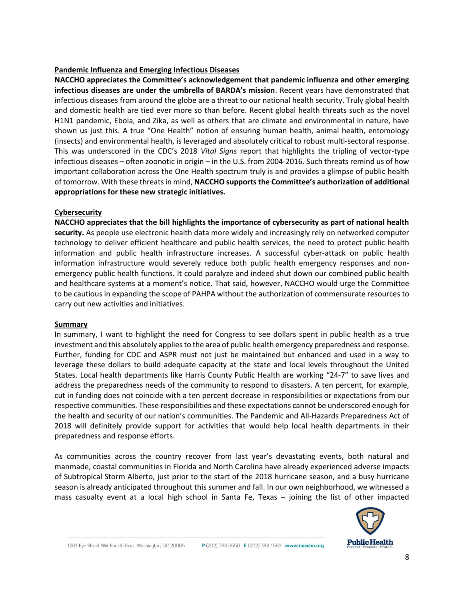#### **Pandemic Influenza and Emerging Infectious Diseases**

**NACCHO appreciates the Committee's acknowledgement that pandemic influenza and other emerging infectious diseases are under the umbrella of BARDA's mission**. Recent years have demonstrated that infectious diseases from around the globe are a threat to our national health security. Truly global health and domestic health are tied ever more so than before. Recent global health threats such as the novel H1N1 pandemic, Ebola, and Zika, as well as others that are climate and environmental in nature, have shown us just this. A true "One Health" notion of ensuring human health, animal health, entomology (insects) and environmental health, is leveraged and absolutely critical to robust multi-sectoral response. This was underscored in the CDC's 2018 *Vital Signs* report that highlights the tripling of vector-type infectious diseases – often zoonotic in origin – in the U.S. from 2004-2016. Such threats remind us of how important collaboration across the One Health spectrum truly is and provides a glimpse of public health of tomorrow. With these threats in mind, **NACCHO supports the Committee's authorization of additional appropriations for these new strategic initiatives.**

## **Cybersecurity**

**NACCHO appreciates that the bill highlights the importance of cybersecurity as part of national health security.** As people use electronic health data more widely and increasingly rely on networked computer technology to deliver efficient healthcare and public health services, the need to protect public health information and public health infrastructure increases. A successful cyber-attack on public health information infrastructure would severely reduce both public health emergency responses and nonemergency public health functions. It could paralyze and indeed shut down our combined public health and healthcare systems at a moment's notice. That said, however, NACCHO would urge the Committee to be cautious in expanding the scope of PAHPA without the authorization of commensurate resources to carry out new activities and initiatives.

#### **Summary**

In summary, I want to highlight the need for Congress to see dollars spent in public health as a true investment and this absolutely applies to the area of public health emergency preparedness and response. Further, funding for CDC and ASPR must not just be maintained but enhanced and used in a way to leverage these dollars to build adequate capacity at the state and local levels throughout the United States. Local health departments like Harris County Public Health are working "24-7" to save lives and address the preparedness needs of the community to respond to disasters. A ten percent, for example, cut in funding does not coincide with a ten percent decrease in responsibilities or expectations from our respective communities. These responsibilities and these expectations cannot be underscored enough for the health and security of our nation's communities. The Pandemic and All-Hazards Preparedness Act of 2018 will definitely provide support for activities that would help local health departments in their preparedness and response efforts.

As communities across the country recover from last year's devastating events, both natural and manmade, coastal communities in Florida and North Carolina have already experienced adverse impacts of Subtropical Storm Alberto, just prior to the start of the 2018 hurricane season, and a busy hurricane season is already anticipated throughout this summer and fall. In our own neighborhood, we witnessed a mass casualty event at a local high school in Santa Fe, Texas – joining the list of other impacted